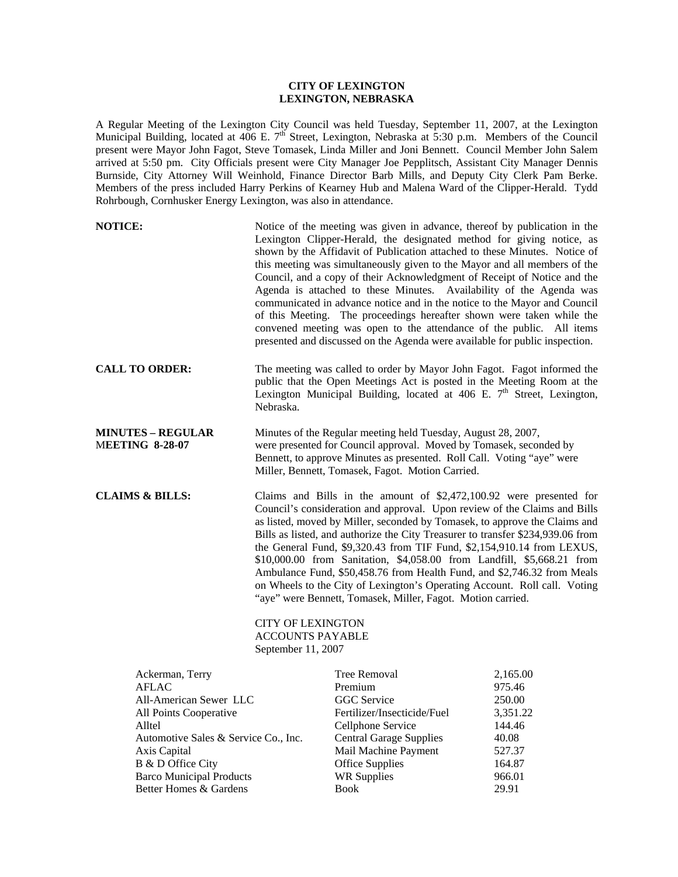# **CITY OF LEXINGTON LEXINGTON, NEBRASKA**

A Regular Meeting of the Lexington City Council was held Tuesday, September 11, 2007, at the Lexington Municipal Building, located at 406 E. 7<sup>th</sup> Street, Lexington, Nebraska at 5:30 p.m. Members of the Council present were Mayor John Fagot, Steve Tomasek, Linda Miller and Joni Bennett. Council Member John Salem arrived at 5:50 pm. City Officials present were City Manager Joe Pepplitsch, Assistant City Manager Dennis Burnside, City Attorney Will Weinhold, Finance Director Barb Mills, and Deputy City Clerk Pam Berke. Members of the press included Harry Perkins of Kearney Hub and Malena Ward of the Clipper-Herald. Tydd Rohrbough, Cornhusker Energy Lexington, was also in attendance.

| <b>NOTICE:</b>                                                                                                                                                                                                |                    | Notice of the meeting was given in advance, thereof by publication in the<br>Lexington Clipper-Herald, the designated method for giving notice, as<br>shown by the Affidavit of Publication attached to these Minutes. Notice of<br>this meeting was simultaneously given to the Mayor and all members of the<br>Council, and a copy of their Acknowledgment of Receipt of Notice and the<br>Agenda is attached to these Minutes. Availability of the Agenda was<br>communicated in advance notice and in the notice to the Mayor and Council<br>of this Meeting. The proceedings hereafter shown were taken while the<br>convened meeting was open to the attendance of the public. All items<br>presented and discussed on the Agenda were available for public inspection. |                                                                                           |
|---------------------------------------------------------------------------------------------------------------------------------------------------------------------------------------------------------------|--------------------|-------------------------------------------------------------------------------------------------------------------------------------------------------------------------------------------------------------------------------------------------------------------------------------------------------------------------------------------------------------------------------------------------------------------------------------------------------------------------------------------------------------------------------------------------------------------------------------------------------------------------------------------------------------------------------------------------------------------------------------------------------------------------------|-------------------------------------------------------------------------------------------|
| <b>CALL TO ORDER:</b>                                                                                                                                                                                         | Nebraska.          | The meeting was called to order by Mayor John Fagot. Fagot informed the<br>public that the Open Meetings Act is posted in the Meeting Room at the<br>Lexington Municipal Building, located at 406 E. 7 <sup>th</sup> Street, Lexington,                                                                                                                                                                                                                                                                                                                                                                                                                                                                                                                                       |                                                                                           |
| <b>MINUTES - REGULAR</b><br><b>MEETING 8-28-07</b>                                                                                                                                                            |                    | Minutes of the Regular meeting held Tuesday, August 28, 2007,<br>were presented for Council approval. Moved by Tomasek, seconded by<br>Bennett, to approve Minutes as presented. Roll Call. Voting "aye" were<br>Miller, Bennett, Tomasek, Fagot. Motion Carried.                                                                                                                                                                                                                                                                                                                                                                                                                                                                                                             |                                                                                           |
| <b>CLAIMS &amp; BILLS:</b>                                                                                                                                                                                    | September 11, 2007 | Claims and Bills in the amount of $$2,472,100.92$ were presented for<br>Council's consideration and approval. Upon review of the Claims and Bills<br>as listed, moved by Miller, seconded by Tomasek, to approve the Claims and<br>Bills as listed, and authorize the City Treasurer to transfer \$234,939.06 from<br>the General Fund, \$9,320.43 from TIF Fund, \$2,154,910.14 from LEXUS,<br>\$10,000.00 from Sanitation, \$4,058.00 from Landfill, \$5,668.21 from<br>Ambulance Fund, \$50,458.76 from Health Fund, and \$2,746.32 from Meals<br>on Wheels to the City of Lexington's Operating Account. Roll call. Voting<br>"aye" were Bennett, Tomasek, Miller, Fagot. Motion carried.<br><b>CITY OF LEXINGTON</b><br><b>ACCOUNTS PAYABLE</b>                          |                                                                                           |
| Ackerman, Terry<br><b>AFLAC</b><br>All-American Sewer LLC<br>All Points Cooperative<br>Alltel<br>Automotive Sales & Service Co., Inc.<br>Axis Capital<br>B & D Office City<br><b>Barco Municipal Products</b> |                    | <b>Tree Removal</b><br>Premium<br><b>GGC</b> Service<br>Fertilizer/Insecticide/Fuel<br>Cellphone Service<br><b>Central Garage Supplies</b><br>Mail Machine Payment<br><b>Office Supplies</b><br><b>WR Supplies</b>                                                                                                                                                                                                                                                                                                                                                                                                                                                                                                                                                            | 2,165.00<br>975.46<br>250.00<br>3,351.22<br>144.46<br>40.08<br>527.37<br>164.87<br>966.01 |

Better Homes & Gardens **Book** 29.91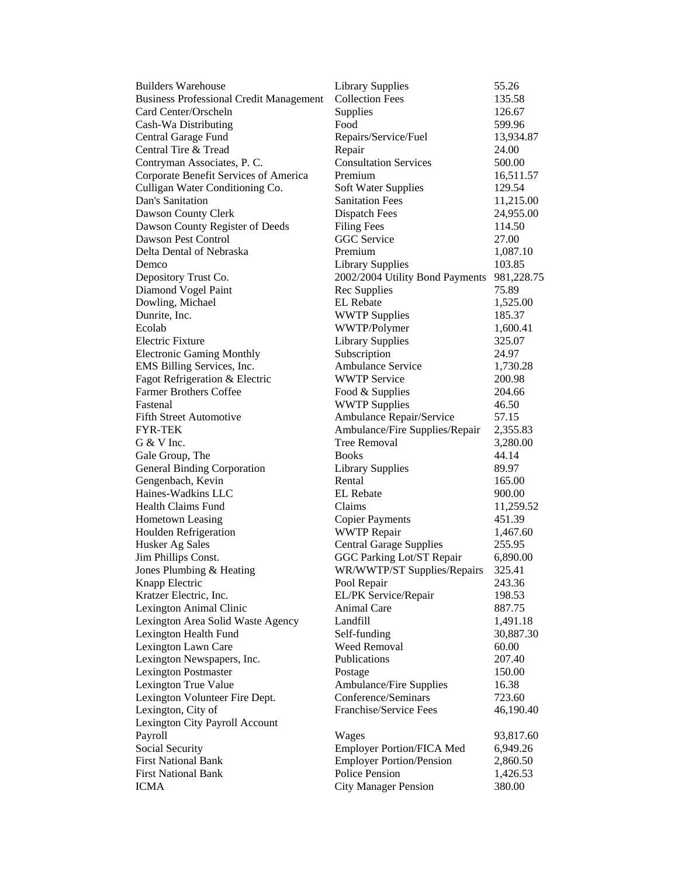| <b>Builders Warehouse</b>                      | <b>Library Supplies</b>          | 55.26      |
|------------------------------------------------|----------------------------------|------------|
| <b>Business Professional Credit Management</b> | <b>Collection Fees</b>           | 135.58     |
| Card Center/Orscheln                           | Supplies                         | 126.67     |
| Cash-Wa Distributing                           | Food                             | 599.96     |
| Central Garage Fund                            | Repairs/Service/Fuel             | 13,934.87  |
| Central Tire & Tread                           | Repair                           | 24.00      |
| Contryman Associates, P. C.                    | <b>Consultation Services</b>     | 500.00     |
| Corporate Benefit Services of America          | Premium                          | 16,511.57  |
| Culligan Water Conditioning Co.                | <b>Soft Water Supplies</b>       | 129.54     |
| Dan's Sanitation                               | <b>Sanitation Fees</b>           | 11,215.00  |
| Dawson County Clerk                            | <b>Dispatch Fees</b>             | 24,955.00  |
| Dawson County Register of Deeds                | <b>Filing Fees</b>               | 114.50     |
| Dawson Pest Control                            | <b>GGC</b> Service               | 27.00      |
| Delta Dental of Nebraska                       | Premium                          | 1,087.10   |
| Demco                                          | <b>Library Supplies</b>          | 103.85     |
| Depository Trust Co.                           | 2002/2004 Utility Bond Payments  | 981,228.75 |
| Diamond Vogel Paint                            | Rec Supplies                     | 75.89      |
| Dowling, Michael                               | <b>EL</b> Rebate                 | 1,525.00   |
| Dunrite, Inc.                                  | <b>WWTP Supplies</b>             | 185.37     |
| Ecolab                                         | WWTP/Polymer                     | 1,600.41   |
| <b>Electric Fixture</b>                        | <b>Library Supplies</b>          | 325.07     |
| <b>Electronic Gaming Monthly</b>               | Subscription                     | 24.97      |
| EMS Billing Services, Inc.                     | Ambulance Service                | 1,730.28   |
| Fagot Refrigeration & Electric                 | <b>WWTP Service</b>              | 200.98     |
| <b>Farmer Brothers Coffee</b>                  | Food & Supplies                  | 204.66     |
| Fastenal                                       | <b>WWTP Supplies</b>             | 46.50      |
| <b>Fifth Street Automotive</b>                 | Ambulance Repair/Service         | 57.15      |
| <b>FYR-TEK</b>                                 | Ambulance/Fire Supplies/Repair   | 2,355.83   |
| G & V Inc.                                     | <b>Tree Removal</b>              | 3,280.00   |
| Gale Group, The                                | <b>Books</b>                     | 44.14      |
| <b>General Binding Corporation</b>             | <b>Library Supplies</b>          | 89.97      |
| Gengenbach, Kevin                              | Rental                           | 165.00     |
| Haines-Wadkins LLC                             | <b>EL</b> Rebate                 | 900.00     |
| <b>Health Claims Fund</b>                      | Claims                           | 11,259.52  |
| Hometown Leasing                               | <b>Copier Payments</b>           | 451.39     |
| Houlden Refrigeration                          | <b>WWTP Repair</b>               | 1,467.60   |
| Husker Ag Sales                                | <b>Central Garage Supplies</b>   | 255.95     |
| Jim Phillips Const.                            | GGC Parking Lot/ST Repair        | 6,890.00   |
| Jones Plumbing & Heating                       | WR/WWTP/ST Supplies/Repairs      | 325.41     |
| Knapp Electric                                 | Pool Repair                      | 243.36     |
| Kratzer Electric, Inc.                         | EL/PK Service/Repair             | 198.53     |
| Lexington Animal Clinic                        | Animal Care                      | 887.75     |
| Lexington Area Solid Waste Agency              | Landfill                         | 1,491.18   |
| Lexington Health Fund                          | Self-funding                     | 30,887.30  |
| Lexington Lawn Care                            | <b>Weed Removal</b>              | 60.00      |
| Lexington Newspapers, Inc.                     | Publications                     | 207.40     |
| <b>Lexington Postmaster</b>                    | Postage                          | 150.00     |
| Lexington True Value                           | Ambulance/Fire Supplies          | 16.38      |
| Lexington Volunteer Fire Dept.                 | Conference/Seminars              | 723.60     |
| Lexington, City of                             | Franchise/Service Fees           | 46,190.40  |
| Lexington City Payroll Account                 |                                  |            |
| Payroll                                        | Wages                            | 93,817.60  |
| Social Security                                | <b>Employer Portion/FICA Med</b> | 6,949.26   |
| <b>First National Bank</b>                     | <b>Employer Portion/Pension</b>  | 2,860.50   |
| <b>First National Bank</b>                     | Police Pension                   | 1,426.53   |
| <b>ICMA</b>                                    | <b>City Manager Pension</b>      | 380.00     |
|                                                |                                  |            |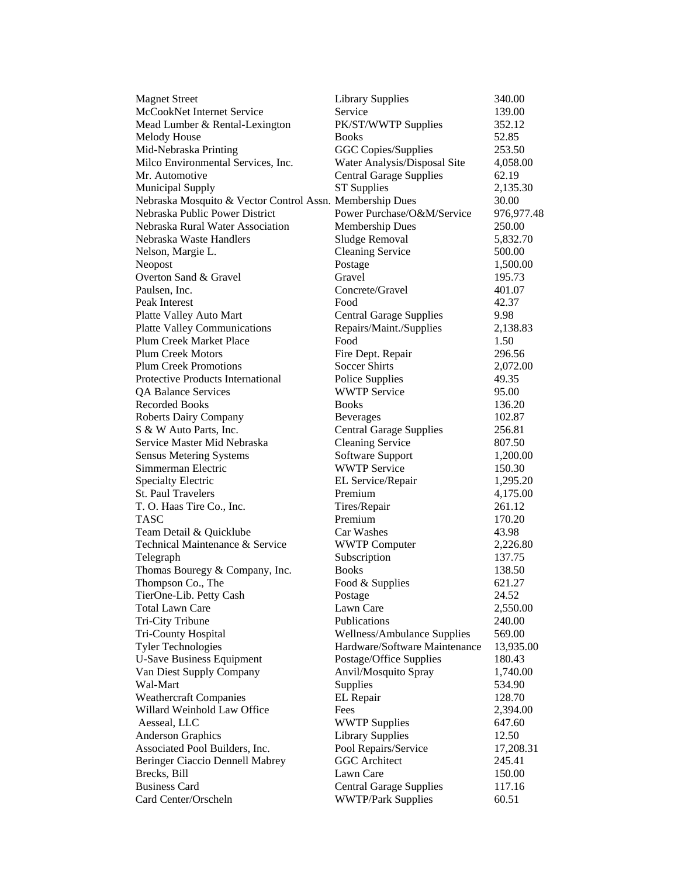| <b>Magnet Street</b>                                     | <b>Library Supplies</b>        | 340.00     |
|----------------------------------------------------------|--------------------------------|------------|
| McCookNet Internet Service                               | Service                        | 139.00     |
| Mead Lumber & Rental-Lexington                           | PK/ST/WWTP Supplies            | 352.12     |
| Melody House                                             | <b>Books</b>                   | 52.85      |
| Mid-Nebraska Printing                                    | <b>GGC Copies/Supplies</b>     | 253.50     |
| Milco Environmental Services, Inc.                       | Water Analysis/Disposal Site   | 4,058.00   |
| Mr. Automotive                                           | <b>Central Garage Supplies</b> | 62.19      |
| <b>Municipal Supply</b>                                  | <b>ST</b> Supplies             | 2,135.30   |
| Nebraska Mosquito & Vector Control Assn. Membership Dues |                                | 30.00      |
| Nebraska Public Power District                           | Power Purchase/O&M/Service     | 976,977.48 |
| Nebraska Rural Water Association                         | Membership Dues                | 250.00     |
| Nebraska Waste Handlers                                  | Sludge Removal                 | 5,832.70   |
| Nelson, Margie L.                                        | <b>Cleaning Service</b>        | 500.00     |
| Neopost                                                  | Postage                        | 1,500.00   |
| Overton Sand & Gravel                                    | Gravel                         | 195.73     |
| Paulsen, Inc.                                            | Concrete/Gravel                | 401.07     |
| Peak Interest                                            | Food                           | 42.37      |
| Platte Valley Auto Mart                                  | <b>Central Garage Supplies</b> | 9.98       |
| <b>Platte Valley Communications</b>                      | Repairs/Maint./Supplies        | 2,138.83   |
| Plum Creek Market Place                                  | Food                           | 1.50       |
| <b>Plum Creek Motors</b>                                 | Fire Dept. Repair              | 296.56     |
| <b>Plum Creek Promotions</b>                             | <b>Soccer Shirts</b>           | 2,072.00   |
| Protective Products International                        | Police Supplies                | 49.35      |
| <b>QA Balance Services</b>                               | <b>WWTP Service</b>            | 95.00      |
| <b>Recorded Books</b>                                    | <b>Books</b>                   | 136.20     |
| <b>Roberts Dairy Company</b>                             | <b>Beverages</b>               | 102.87     |
| S & W Auto Parts, Inc.                                   | <b>Central Garage Supplies</b> | 256.81     |
| Service Master Mid Nebraska                              | <b>Cleaning Service</b>        | 807.50     |
| <b>Sensus Metering Systems</b>                           | Software Support               | 1,200.00   |
| Simmerman Electric                                       | <b>WWTP Service</b>            | 150.30     |
| <b>Specialty Electric</b>                                | EL Service/Repair              | 1,295.20   |
| St. Paul Travelers                                       | Premium                        | 4,175.00   |
| T. O. Haas Tire Co., Inc.                                | Tires/Repair                   | 261.12     |
| <b>TASC</b>                                              | Premium                        | 170.20     |
| Team Detail & Quicklube                                  | Car Washes                     | 43.98      |
| Technical Maintenance & Service                          | <b>WWTP Computer</b>           | 2,226.80   |
| Telegraph                                                | Subscription                   | 137.75     |
| Thomas Bouregy & Company, Inc.                           | <b>Books</b>                   | 138.50     |
| Thompson Co., The                                        | Food & Supplies                | 621.27     |
| TierOne-Lib. Petty Cash                                  | Postage                        | 24.52      |
| <b>Total Lawn Care</b>                                   | Lawn Care                      | 2,550.00   |
| Tri-City Tribune                                         | Publications                   | 240.00     |
| Tri-County Hospital                                      | Wellness/Ambulance Supplies    | 569.00     |
| <b>Tyler Technologies</b>                                | Hardware/Software Maintenance  | 13,935.00  |
| <b>U-Save Business Equipment</b>                         | Postage/Office Supplies        | 180.43     |
| Van Diest Supply Company                                 | Anvil/Mosquito Spray           | 1,740.00   |
| Wal-Mart                                                 | Supplies                       | 534.90     |
| <b>Weathercraft Companies</b>                            | EL Repair                      | 128.70     |
| Willard Weinhold Law Office                              | Fees                           | 2,394.00   |
| Aesseal, LLC                                             | <b>WWTP Supplies</b>           | 647.60     |
| <b>Anderson Graphics</b>                                 | <b>Library Supplies</b>        | 12.50      |
| Associated Pool Builders, Inc.                           | Pool Repairs/Service           | 17,208.31  |
| Beringer Ciaccio Dennell Mabrey                          | <b>GGC</b> Architect           | 245.41     |
| Brecks, Bill                                             | Lawn Care                      | 150.00     |
| <b>Business Card</b>                                     | <b>Central Garage Supplies</b> | 117.16     |
| Card Center/Orscheln                                     | <b>WWTP/Park Supplies</b>      | 60.51      |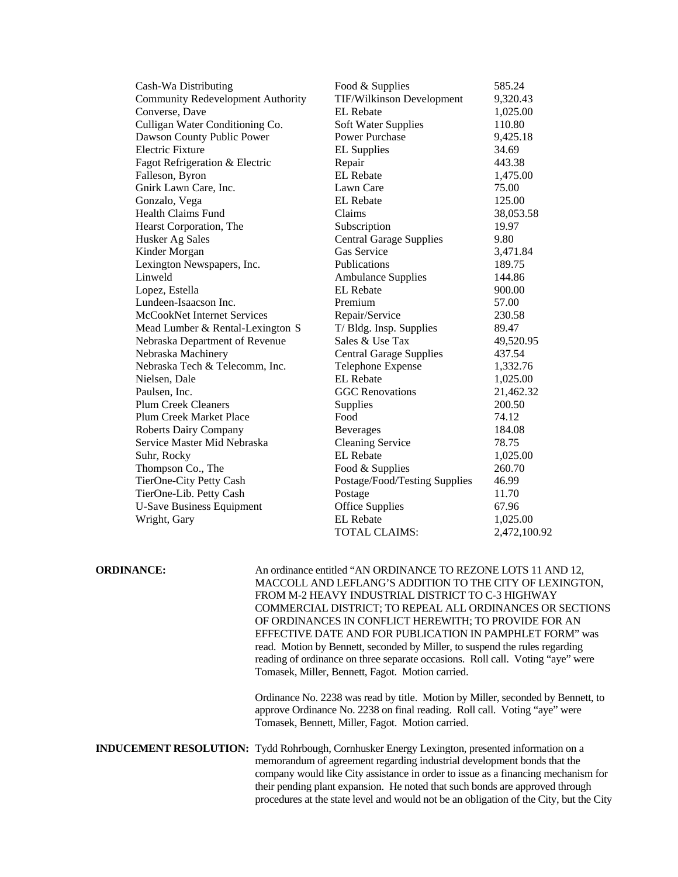| Cash-Wa Distributing                     | Food & Supplies                | 585.24       |
|------------------------------------------|--------------------------------|--------------|
| <b>Community Redevelopment Authority</b> | TIF/Wilkinson Development      | 9,320.43     |
| Converse, Dave                           | <b>EL</b> Rebate               | 1,025.00     |
| Culligan Water Conditioning Co.          | <b>Soft Water Supplies</b>     | 110.80       |
| Dawson County Public Power               | Power Purchase                 | 9,425.18     |
| <b>Electric Fixture</b>                  | <b>EL Supplies</b>             | 34.69        |
| Fagot Refrigeration & Electric           | Repair                         | 443.38       |
| Falleson, Byron                          | <b>EL</b> Rebate               | 1,475.00     |
| Gnirk Lawn Care, Inc.                    | Lawn Care                      | 75.00        |
| Gonzalo, Vega                            | <b>EL</b> Rebate               | 125.00       |
| <b>Health Claims Fund</b>                | Claims                         | 38,053.58    |
| Hearst Corporation, The                  | Subscription                   | 19.97        |
| Husker Ag Sales                          | <b>Central Garage Supplies</b> | 9.80         |
| Kinder Morgan                            | Gas Service                    | 3,471.84     |
| Lexington Newspapers, Inc.               | Publications                   | 189.75       |
| Linweld                                  | <b>Ambulance Supplies</b>      | 144.86       |
| Lopez, Estella                           | <b>EL</b> Rebate               | 900.00       |
| Lundeen-Isaacson Inc.                    | Premium                        | 57.00        |
| McCookNet Internet Services              | Repair/Service                 | 230.58       |
| Mead Lumber & Rental-Lexington S         | T/ Bldg. Insp. Supplies        | 89.47        |
| Nebraska Department of Revenue           | Sales & Use Tax                | 49,520.95    |
| Nebraska Machinery                       | <b>Central Garage Supplies</b> | 437.54       |
| Nebraska Tech & Telecomm, Inc.           | Telephone Expense              | 1,332.76     |
| Nielsen, Dale                            | <b>EL</b> Rebate               | 1,025.00     |
| Paulsen, Inc.                            | <b>GGC</b> Renovations         | 21,462.32    |
| <b>Plum Creek Cleaners</b>               | Supplies                       | 200.50       |
| <b>Plum Creek Market Place</b>           | Food                           | 74.12        |
| Roberts Dairy Company                    | <b>Beverages</b>               | 184.08       |
| Service Master Mid Nebraska              | <b>Cleaning Service</b>        | 78.75        |
| Suhr, Rocky                              | <b>EL</b> Rebate               | 1,025.00     |
| Thompson Co., The                        | Food & Supplies                | 260.70       |
| TierOne-City Petty Cash                  | Postage/Food/Testing Supplies  | 46.99        |
| TierOne-Lib. Petty Cash                  | Postage                        | 11.70        |
| <b>U-Save Business Equipment</b>         | <b>Office Supplies</b>         | 67.96        |
| Wright, Gary                             | <b>EL</b> Rebate               | 1,025.00     |
|                                          | TOTAL CLAIMS:                  | 2.472.100.92 |

**ORDINANCE:** An ordinance entitled "AN ORDINANCE TO REZONE LOTS 11 AND 12, MACCOLL AND LEFLANG'S ADDITION TO THE CITY OF LEXINGTON, FROM M-2 HEAVY INDUSTRIAL DISTRICT TO C-3 HIGHWAY COMMERCIAL DISTRICT; TO REPEAL ALL ORDINANCES OR SECTIONS OF ORDINANCES IN CONFLICT HEREWITH; TO PROVIDE FOR AN EFFECTIVE DATE AND FOR PUBLICATION IN PAMPHLET FORM" was read. Motion by Bennett, seconded by Miller, to suspend the rules regarding reading of ordinance on three separate occasions. Roll call. Voting "aye" were Tomasek, Miller, Bennett, Fagot. Motion carried.

> Ordinance No. 2238 was read by title. Motion by Miller, seconded by Bennett, to approve Ordinance No. 2238 on final reading. Roll call. Voting "aye" were Tomasek, Bennett, Miller, Fagot. Motion carried.

**INDUCEMENT RESOLUTION:** Tydd Rohrbough, Cornhusker Energy Lexington, presented information on a memorandum of agreement regarding industrial development bonds that the company would like City assistance in order to issue as a financing mechanism for their pending plant expansion. He noted that such bonds are approved through procedures at the state level and would not be an obligation of the City, but the City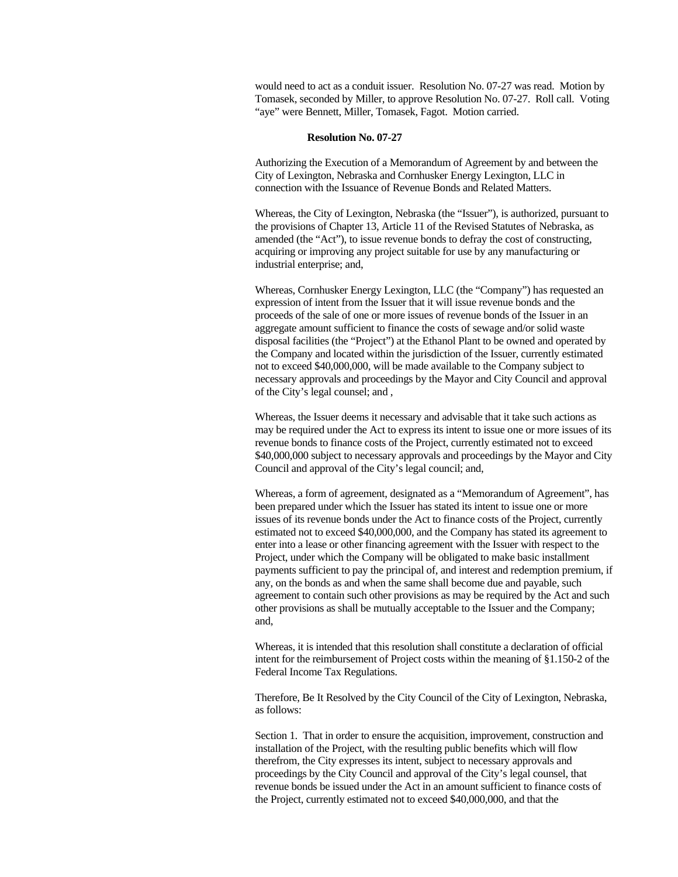would need to act as a conduit issuer. Resolution No. 07-27 was read. Motion by Tomasek, seconded by Miller, to approve Resolution No. 07-27. Roll call. Voting "aye" were Bennett, Miller, Tomasek, Fagot. Motion carried.

### **Resolution No. 07-27**

Authorizing the Execution of a Memorandum of Agreement by and between the City of Lexington, Nebraska and Cornhusker Energy Lexington, LLC in connection with the Issuance of Revenue Bonds and Related Matters.

Whereas, the City of Lexington, Nebraska (the "Issuer"), is authorized, pursuant to the provisions of Chapter 13, Article 11 of the Revised Statutes of Nebraska, as amended (the "Act"), to issue revenue bonds to defray the cost of constructing, acquiring or improving any project suitable for use by any manufacturing or industrial enterprise; and,

Whereas, Cornhusker Energy Lexington, LLC (the "Company") has requested an expression of intent from the Issuer that it will issue revenue bonds and the proceeds of the sale of one or more issues of revenue bonds of the Issuer in an aggregate amount sufficient to finance the costs of sewage and/or solid waste disposal facilities (the "Project") at the Ethanol Plant to be owned and operated by the Company and located within the jurisdiction of the Issuer, currently estimated not to exceed \$40,000,000, will be made available to the Company subject to necessary approvals and proceedings by the Mayor and City Council and approval of the City's legal counsel; and ,

Whereas, the Issuer deems it necessary and advisable that it take such actions as may be required under the Act to express its intent to issue one or more issues of its revenue bonds to finance costs of the Project, currently estimated not to exceed \$40,000,000 subject to necessary approvals and proceedings by the Mayor and City Council and approval of the City's legal council; and,

Whereas, a form of agreement, designated as a "Memorandum of Agreement", has been prepared under which the Issuer has stated its intent to issue one or more issues of its revenue bonds under the Act to finance costs of the Project, currently estimated not to exceed \$40,000,000, and the Company has stated its agreement to enter into a lease or other financing agreement with the Issuer with respect to the Project, under which the Company will be obligated to make basic installment payments sufficient to pay the principal of, and interest and redemption premium, if any, on the bonds as and when the same shall become due and payable, such agreement to contain such other provisions as may be required by the Act and such other provisions as shall be mutually acceptable to the Issuer and the Company; and,

Whereas, it is intended that this resolution shall constitute a declaration of official intent for the reimbursement of Project costs within the meaning of §1.150-2 of the Federal Income Tax Regulations.

Therefore, Be It Resolved by the City Council of the City of Lexington, Nebraska, as follows:

Section 1. That in order to ensure the acquisition, improvement, construction and installation of the Project, with the resulting public benefits which will flow therefrom, the City expresses its intent, subject to necessary approvals and proceedings by the City Council and approval of the City's legal counsel, that revenue bonds be issued under the Act in an amount sufficient to finance costs of the Project, currently estimated not to exceed \$40,000,000, and that the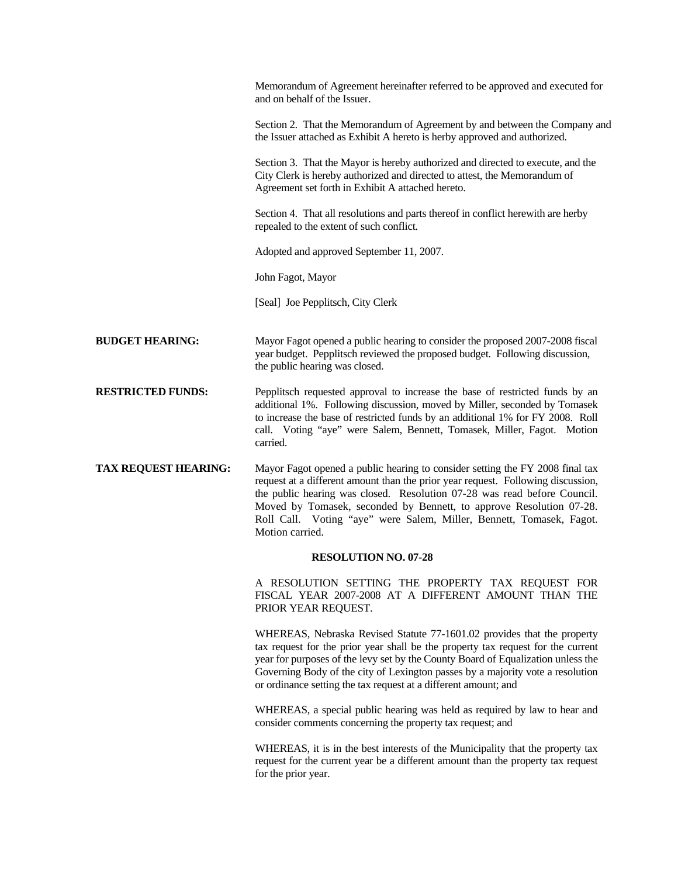|                             | Memorandum of Agreement hereinafter referred to be approved and executed for<br>and on behalf of the Issuer.                                                                                                                                                                                                                                                                                                    |  |
|-----------------------------|-----------------------------------------------------------------------------------------------------------------------------------------------------------------------------------------------------------------------------------------------------------------------------------------------------------------------------------------------------------------------------------------------------------------|--|
|                             | Section 2. That the Memorandum of Agreement by and between the Company and<br>the Issuer attached as Exhibit A hereto is herby approved and authorized.                                                                                                                                                                                                                                                         |  |
|                             | Section 3. That the Mayor is hereby authorized and directed to execute, and the<br>City Clerk is hereby authorized and directed to attest, the Memorandum of<br>Agreement set forth in Exhibit A attached hereto.                                                                                                                                                                                               |  |
|                             | Section 4. That all resolutions and parts thereof in conflict herewith are herby<br>repealed to the extent of such conflict.                                                                                                                                                                                                                                                                                    |  |
|                             | Adopted and approved September 11, 2007.                                                                                                                                                                                                                                                                                                                                                                        |  |
|                             | John Fagot, Mayor                                                                                                                                                                                                                                                                                                                                                                                               |  |
|                             | [Seal] Joe Pepplitsch, City Clerk                                                                                                                                                                                                                                                                                                                                                                               |  |
| <b>BUDGET HEARING:</b>      | Mayor Fagot opened a public hearing to consider the proposed 2007-2008 fiscal<br>year budget. Pepplitsch reviewed the proposed budget. Following discussion,<br>the public hearing was closed.                                                                                                                                                                                                                  |  |
| <b>RESTRICTED FUNDS:</b>    | Pepplitsch requested approval to increase the base of restricted funds by an<br>additional 1%. Following discussion, moved by Miller, seconded by Tomasek<br>to increase the base of restricted funds by an additional 1% for FY 2008. Roll<br>call. Voting "aye" were Salem, Bennett, Tomasek, Miller, Fagot. Motion<br>carried.                                                                               |  |
| <b>TAX REQUEST HEARING:</b> | Mayor Fagot opened a public hearing to consider setting the FY 2008 final tax<br>request at a different amount than the prior year request. Following discussion,<br>the public hearing was closed. Resolution 07-28 was read before Council.<br>Moved by Tomasek, seconded by Bennett, to approve Resolution 07-28.<br>Roll Call. Voting "aye" were Salem, Miller, Bennett, Tomasek, Fagot.<br>Motion carried. |  |
|                             | <b>RESOLUTION NO. 07-28</b>                                                                                                                                                                                                                                                                                                                                                                                     |  |
|                             | A RESOLUTION SETTING THE PROPERTY TAX REQUEST FOR<br>FISCAL YEAR 2007-2008 AT A DIFFERENT AMOUNT THAN THE<br>PRIOR YEAR REQUEST.                                                                                                                                                                                                                                                                                |  |
|                             | WHEREAS, Nebraska Revised Statute 77-1601.02 provides that the property<br>tax request for the prior year shall be the property tax request for the current<br>year for purposes of the levy set by the County Board of Equalization unless the<br>Governing Body of the city of Lexington passes by a majority vote a resolution<br>or ordinance setting the tax request at a different amount; and            |  |
|                             | WHEREAS, a special public hearing was held as required by law to hear and<br>consider comments concerning the property tax request; and                                                                                                                                                                                                                                                                         |  |
|                             | WHEREAS, it is in the best interests of the Municipality that the property tax<br>request for the current year be a different amount than the property tax request<br>for the prior year.                                                                                                                                                                                                                       |  |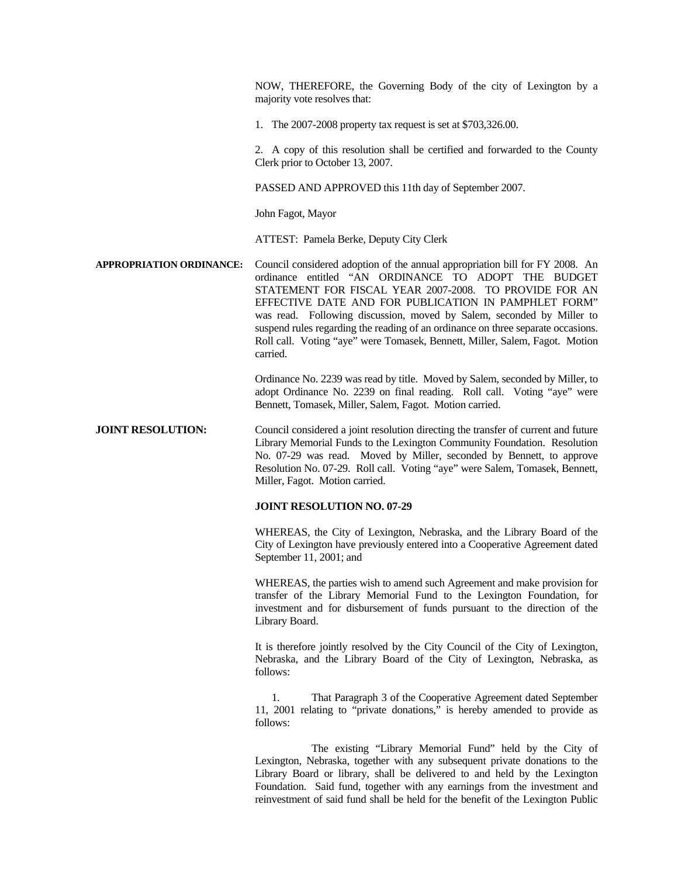NOW, THEREFORE, the Governing Body of the city of Lexington by a majority vote resolves that:

1. The 2007-2008 property tax request is set at \$703,326.00.

 2. A copy of this resolution shall be certified and forwarded to the County Clerk prior to October 13, 2007.

PASSED AND APPROVED this 11th day of September 2007.

John Fagot, Mayor

ATTEST: Pamela Berke, Deputy City Clerk

**APPROPRIATION ORDINANCE:** Council considered adoption of the annual appropriation bill for FY 2008. An ordinance entitled "AN ORDINANCE TO ADOPT THE BUDGET STATEMENT FOR FISCAL YEAR 2007-2008. TO PROVIDE FOR AN EFFECTIVE DATE AND FOR PUBLICATION IN PAMPHLET FORM" was read. Following discussion, moved by Salem, seconded by Miller to suspend rules regarding the reading of an ordinance on three separate occasions. Roll call. Voting "aye" were Tomasek, Bennett, Miller, Salem, Fagot. Motion carried.

> Ordinance No. 2239 was read by title. Moved by Salem, seconded by Miller, to adopt Ordinance No. 2239 on final reading. Roll call. Voting "aye" were Bennett, Tomasek, Miller, Salem, Fagot. Motion carried.

**JOINT RESOLUTION:** Council considered a joint resolution directing the transfer of current and future Library Memorial Funds to the Lexington Community Foundation. Resolution No. 07-29 was read. Moved by Miller, seconded by Bennett, to approve Resolution No. 07-29. Roll call. Voting "aye" were Salem, Tomasek, Bennett, Miller, Fagot. Motion carried.

## **JOINT RESOLUTION NO. 07-29**

 WHEREAS, the City of Lexington, Nebraska, and the Library Board of the City of Lexington have previously entered into a Cooperative Agreement dated September 11, 2001; and

 WHEREAS, the parties wish to amend such Agreement and make provision for transfer of the Library Memorial Fund to the Lexington Foundation, for investment and for disbursement of funds pursuant to the direction of the Library Board.

 It is therefore jointly resolved by the City Council of the City of Lexington, Nebraska, and the Library Board of the City of Lexington, Nebraska, as follows:

 1. That Paragraph 3 of the Cooperative Agreement dated September 11, 2001 relating to "private donations," is hereby amended to provide as follows:

 The existing "Library Memorial Fund" held by the City of Lexington, Nebraska, together with any subsequent private donations to the Library Board or library, shall be delivered to and held by the Lexington Foundation. Said fund, together with any earnings from the investment and reinvestment of said fund shall be held for the benefit of the Lexington Public